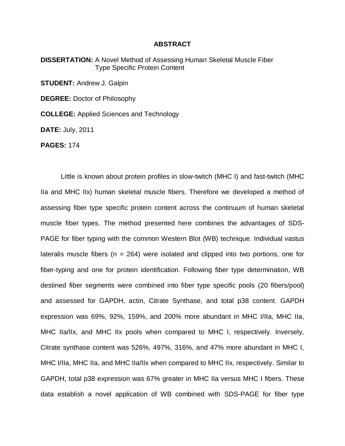## **ABSTRACT**

**DISSERTATION:** A Novel Method of Assessing Human Skeletal Muscle Fiber Type Specific Protein Content

**STUDENT:** Andrew J. Galpin

**DEGREE:** Doctor of Philosophy

**COLLEGE:** Applied Sciences and Technology

**DATE:** July, 2011

**PAGES:** 174

Little is known about protein profiles in slow-twitch (MHC I) and fast-twitch (MHC IIa and MHC IIx) human skeletal muscle fibers. Therefore we developed a method of assessing fiber type specific protein content across the continuum of human skeletal muscle fiber types. The method presented here combines the advantages of SDS-PAGE for fiber typing with the common Western Blot (WB) technique. Individual vastus lateralis muscle fibers ( $n = 264$ ) were isolated and clipped into two portions, one for fiber-typing and one for protein identification. Following fiber type determination, WB destined fiber segments were combined into fiber type specific pools (20 fibers/pool) and assessed for GAPDH, actin, Citrate Synthase, and total p38 content. GAPDH expression was 69%, 92%, 159%, and 200% more abundant in MHC I/IIa, MHC IIa, MHC IIa/IIx, and MHC IIx pools when compared to MHC I, respectively. Inversely, Citrate synthase content was 526%, 497%, 316%, and 47% more abundant in MHC I, MHC I/IIa, MHC IIa, and MHC IIa/IIx when compared to MHC IIx, respectively. Similar to GAPDH, total p38 expression was 67% greater in MHC IIa versus MHC I fibers. These data establish a novel application of WB combined with SDS-PAGE for fiber type